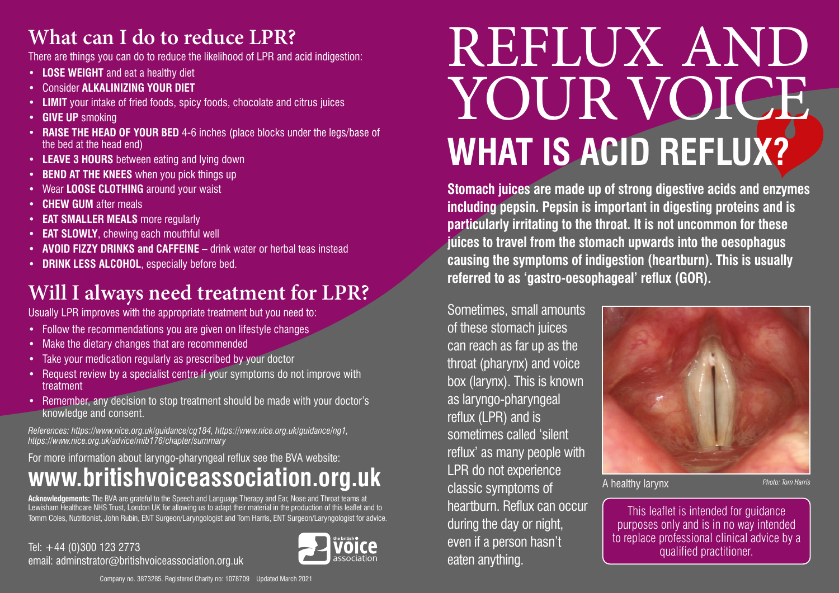#### **What can I do to reduce LPR?**

There are things you can do to reduce the likelihood of LPR and acid indigestion:

- **• LOSE WEIGHT** and eat a healthy diet
- Consider **ALKALINIZING YOUR DIET**
- **• LIMIT** your intake of fried foods, spicy foods, chocolate and citrus juices
- **• GIVE UP** smoking
- **• RAISE THE HEAD OF YOUR BED** 4-6 inches (place blocks under the legs/base of the bed at the head end)
- **• LEAVE 3 HOURS** between eating and lying down
- **• BEND AT THE KNEES** when you pick things up
- Wear **LOOSE CLOTHING** around your waist
- **• CHEW GUM** after meals
- **• EAT SMALLER MEALS** more regularly
- **• EAT SLOWLY**, chewing each mouthful well
- **• AVOID FIZZY DRINKS and CAFFEINE** drink water or herbal teas instead
- **• DRINK LESS ALCOHOL**, especially before bed.

#### **Will I always need treatment for LPR?**

Usually LPR improves with the appropriate treatment but you need to:

- Follow the recommendations you are given on lifestyle changes
- Make the dietary changes that are recommended
- Take your medication regularly as prescribed by your doctor
- Request review by a specialist centre if your symptoms do not improve with treatment
- Remember, any decision to stop treatment should be made with your doctor's knowledge and consent.

*References: https://www.nice.org.uk/guidance/cg184, https://www.nice.org.uk/guidance/ng1, https://www.nice.org.uk/advice/mib176/chapter/summary*

#### For more information about laryngo-pharyngeal reflux see the BVA website: **www.britishvoiceassociation.org.uk**

**Acknowledgements:** The BVA are grateful to the Speech and Language Therapy and Ear, Nose and Throat teams at Lewisham Healthcare NHS Trust, London UK for allowing us to adapt their material in the production of this leaflet and to Tomm Coles, Nutritionist, John Rubin, ENT Surgeon/Laryngologist and Tom Harris, ENT Surgeon/Laryngologist for advice.

Tel: +44 (0)300 123 2773 email: adminstrator@britishvoiceassociation.org.uk



# REFLUX AND YOUR VOICE **WHAT IS ACID REFLUX?**

**Stomach juices are made up of strong digestive acids and enzymes including pepsin. Pepsin is important in digesting proteins and is particularly irritating to the throat. It is not uncommon for these juices to travel from the stomach upwards into the oesophagus causing the symptoms of indigestion (heartburn). This is usually referred to as 'gastro-oesophageal' reflux (GOR).** 

Sometimes, small amounts of these stomach juices can reach as far up as the throat (pharynx) and voice box (larynx). This is known as laryngo-pharyngeal reflux (LPR) and is sometimes called 'silent reflux' as many people with LPR do not experience classic symptoms of heartburn. Reflux can occur during the day or night, even if a person hasn't eaten anything.



A healthy larynx *Photo: Tom Harris*

This leaflet is intended for guidance purposes only and is in no way intended to replace professional clinical advice by a qualified practitioner.